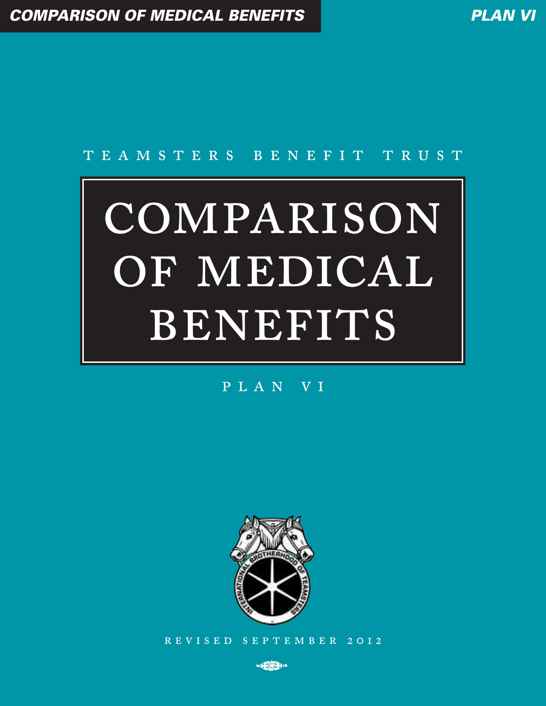# TEAMSTERS BENEFIT TRUST

# COMPARISON OF MEDICAL BENEFITS

## PLAN VI



REVISED SEPTEMBER 2012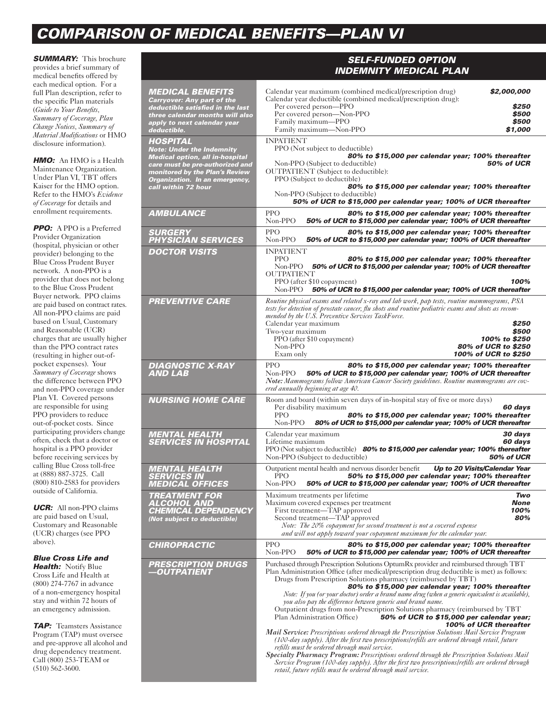# *COMPARISON OF MEDICAL BENEFITS—PLAN VI*

**SUMMARY:** This brochure provides a brief summary of medical benefits offered by each medical option. For a full Plan description, refer to the specific Plan materials (*Guide to Your Benefits, Summary of Coverage, Plan Change Notices, Summary of Material Modifications* or HMO disclosure information).

*HMO:* An HMO is a Health Maintenance Organization. Under Plan VI, TBT offers Kaiser for the HMO option. Refer to the HMO's *Evidence of Coverage* for details and enrollment requirements.

*PPO:* A PPO is a Preferred Provider Organization (hospital, physician or other provider) belonging to the Blue Cross Prudent Buyer network. A non-PPO is a provider that does not belong to the Blue Cross Prudent Buyer network. PPO claims are paid based on contract rates. All non-PPO claims are paid based on Usual, Customary and Reasonable (UCR) charges that are usually higher than the PPO contract rates (resulting in higher out-ofpocket expenses). Your *Summary of Coverage* shows the difference between PPO and non-PPO coverage under Plan VI. Covered persons are responsible for using PPO providers to reduce out-of-pocket costs. Since participating providers change often, check that a doctor or hospital is a PPO provider before receiving services by calling Blue Cross toll-free at (888) 887-3725. Call (800) 810-2583 for providers outside of California.

*UCR:* All non-PPO claims are paid based on Usual, Customary and Reasonable (UCR) charges (see PPO above).

#### *Blue Cross Life and Health:* Notify Blue

Cross Life and Health at (800) 274-7767 in advance of a non-emergency hospital stay and within 72 hours of an emergency admission.

*TAP:* Teamsters Assistance Program (TAP) must oversee and pre-approve all alcohol and drug dependency treatment. Call (800) 253-TEAM or (510) 562-3600.

|                                                                                                                                                                                                                             | <b>INDEMNITY MEDICAL PLAN</b>                                                                                                                                                                                                                                                                                                                                                                                                                                                                                                                                                                                                                                                                                                                                                                                                                                                                                                                                                                                                                                                                                                                                                                |  |  |
|-----------------------------------------------------------------------------------------------------------------------------------------------------------------------------------------------------------------------------|----------------------------------------------------------------------------------------------------------------------------------------------------------------------------------------------------------------------------------------------------------------------------------------------------------------------------------------------------------------------------------------------------------------------------------------------------------------------------------------------------------------------------------------------------------------------------------------------------------------------------------------------------------------------------------------------------------------------------------------------------------------------------------------------------------------------------------------------------------------------------------------------------------------------------------------------------------------------------------------------------------------------------------------------------------------------------------------------------------------------------------------------------------------------------------------------|--|--|
| <b>MEDICAL BENEFITS</b><br><b>Carryover: Any part of the</b><br>deductible satisfied in the last<br>three calendar months will also<br>apply to next calendar year<br>deductible.                                           | Calendar year maximum (combined medical/prescription drug)<br>\$2,000,000<br>Calendar year deductible (combined medical/prescription drug):<br>Per covered person-PPO<br>\$250<br>Per covered person-Non-PPO<br>\$500<br>Family maximum-PPO<br>\$500<br>Family maximum-Non-PPO<br>\$1,000                                                                                                                                                                                                                                                                                                                                                                                                                                                                                                                                                                                                                                                                                                                                                                                                                                                                                                    |  |  |
| <b>HOSPITAL</b><br><b>Note: Under the Indemnity</b><br><b>Medical option, all in-hospital</b><br>care must be pre-authorized and<br>monitored by the Plan's Review<br>Organization. In an emergency,<br>call within 72 hour | <b>INPATIENT</b><br>PPO (Not subject to deductible)<br>80% to \$15,000 per calendar year; 100% thereafter<br><b>50% of UCR</b><br>Non-PPO (Subject to deductible)<br><b>OUTPATIENT</b> (Subject to deductible):<br>PPO (Subject to deductible)<br>80% to \$15,000 per calendar year; 100% thereafter<br>Non-PPO (Subject to deductible)<br>50% of UCR to \$15,000 per calendar year; 100% of UCR thereafter                                                                                                                                                                                                                                                                                                                                                                                                                                                                                                                                                                                                                                                                                                                                                                                  |  |  |
| <b>AMBULANCE</b>                                                                                                                                                                                                            | <b>PPO</b><br>80% to \$15,000 per calendar year; 100% thereafter<br>Non-PPO<br>50% of UCR to \$15,000 per calendar year; 100% of UCR thereafter                                                                                                                                                                                                                                                                                                                                                                                                                                                                                                                                                                                                                                                                                                                                                                                                                                                                                                                                                                                                                                              |  |  |
| <b>SURGERY</b><br><b>PHYSICIAN SERVICES</b>                                                                                                                                                                                 | <b>PPO</b><br>80% to \$15,000 per calendar year; 100% thereafter<br>Non-PPO<br>50% of UCR to \$15,000 per calendar year; 100% of UCR thereafter                                                                                                                                                                                                                                                                                                                                                                                                                                                                                                                                                                                                                                                                                                                                                                                                                                                                                                                                                                                                                                              |  |  |
| <b>DOCTOR VISITS</b>                                                                                                                                                                                                        | <b>INPATIENT</b><br><b>PPO</b><br>80% to \$15,000 per calendar year; 100% thereafter<br>Non-PPO 50% of UCR to \$15,000 per calendar year; 100% of UCR thereafter<br><b>OUTPATIENT</b><br>PPO (after \$10 copayment)<br>100%                                                                                                                                                                                                                                                                                                                                                                                                                                                                                                                                                                                                                                                                                                                                                                                                                                                                                                                                                                  |  |  |
| <b>PREVENTIVE CARE</b>                                                                                                                                                                                                      | Non-PPO<br>50% of UCR to \$15,000 per calendar year; 100% of UCR thereafter                                                                                                                                                                                                                                                                                                                                                                                                                                                                                                                                                                                                                                                                                                                                                                                                                                                                                                                                                                                                                                                                                                                  |  |  |
|                                                                                                                                                                                                                             | Routine physical exams and related x-ray and lab work, pap tests, routine mammograms, PSA<br>tests for detection of prostate cancer, flu shots and routine pediatric exams and shots as recom-<br>mended by the U.S. Preventive Services TaskForce.<br>Calendar year maximum<br>\$250<br>Two-year maximum<br>\$500<br>PPO (after \$10 copayment)<br>100% to \$250<br>Non-PPO<br>80% of UCR to \$250<br>100% of UCR to \$250<br>Exam only                                                                                                                                                                                                                                                                                                                                                                                                                                                                                                                                                                                                                                                                                                                                                     |  |  |
| <b>DIAGNOSTIC X-RAY</b><br><b>AND LAB</b>                                                                                                                                                                                   | <b>PPO</b><br>80% to \$15,000 per calendar year; 100% thereafter<br>Non-PPO<br>50% of UCR to \$15,000 per calendar year; 100% of UCR thereafter<br>Note: Mammograms follow American Cancer Society guidelines. Routine mammograms are cov-<br>ered annually beginning at age 40.                                                                                                                                                                                                                                                                                                                                                                                                                                                                                                                                                                                                                                                                                                                                                                                                                                                                                                             |  |  |
| <b>NURSING HOME CARE</b>                                                                                                                                                                                                    | Room and board (within seven days of in-hospital stay of five or more days)<br>Per disability maximum<br>60 days<br><b>PPO</b><br>80% to \$15,000 per calendar year; 100% thereafter<br>Non-PPO<br>80% of UCR to \$15,000 per calendar year; 100% of UCR thereafter                                                                                                                                                                                                                                                                                                                                                                                                                                                                                                                                                                                                                                                                                                                                                                                                                                                                                                                          |  |  |
| <b>MENTAL HEALTH</b><br><b>SERVICES IN HOSPITAL</b>                                                                                                                                                                         | Calendar year maximum<br>30 days<br>Lifetime maximum<br>60 days<br>PPO (Not subject to deductible) 80% to \$15,000 per calendar year; 100% thereafter<br>Non-PPO (Subject to deductible)<br><b>50% of UCR</b>                                                                                                                                                                                                                                                                                                                                                                                                                                                                                                                                                                                                                                                                                                                                                                                                                                                                                                                                                                                |  |  |
| <b>MENTAL HEALTH</b><br><b>SERVICES IN</b><br><b>MEDICAL OFFICES</b>                                                                                                                                                        | Up to 20 Visits/Calendar Year<br>Outpatient mental health and nervous disorder benefit<br><b>PPO</b><br>50% to \$15,000 per calendar year; 100% thereafter<br>Non-PPO<br>50% of UCR to \$15,000 per calendar year; 100% of UCR thereafter                                                                                                                                                                                                                                                                                                                                                                                                                                                                                                                                                                                                                                                                                                                                                                                                                                                                                                                                                    |  |  |
| <b>TREATMENT FOR</b><br><b>ALCOHOL AND</b><br><b>CHEMICAL DEPENDENCY</b><br>(Not subject to deductible)                                                                                                                     | Maximum treatments per lifetime<br>Two<br><b>None</b><br>Maximum covered expenses per treatment<br>First treatment-TAP approved<br>100%<br>Second treatment—TAP approved<br>80%<br>Note: The 20% copayment for second treatment is not a covered expense<br>and will not apply toward your copayment maximum for the calendar year.                                                                                                                                                                                                                                                                                                                                                                                                                                                                                                                                                                                                                                                                                                                                                                                                                                                          |  |  |
| <b>CHIROPRACTIC</b>                                                                                                                                                                                                         | <b>PPO</b><br>80% to \$15,000 per calendar year; 100% thereafter<br>Non-PPO<br>50% of UCR to \$15,000 per calendar year; 100% of UCR thereafter                                                                                                                                                                                                                                                                                                                                                                                                                                                                                                                                                                                                                                                                                                                                                                                                                                                                                                                                                                                                                                              |  |  |
| <b>PRESCRIPTION DRUGS</b><br>-OUTPATIENT                                                                                                                                                                                    | Purchased through Prescription Solutions OptumRx provider and reimbursed through TBT<br>Plan Administration Office (after medical/prescription drug deductible is met) as follows:<br>Drugs from Prescription Solutions pharmacy (reimbursed by TBT)<br>80% to \$15,000 per calendar year; 100% thereafter<br>Note: If you (or your doctor) order a brand name drug (when a generic equivalent is available),<br>you also pay the difference between generic and brand name.<br>Outpatient drugs from non-Prescription Solutions pharmacy (reimbursed by TBT)<br>Plan Administration Office)<br>50% of UCR to \$15,000 per calendar year;<br>100% of UCR thereafter<br><b>Mail Service:</b> Prescriptions ordered through the Prescription Solutions Mail Service Program<br>(100-day supply). After the first two prescriptions/refills are ordered through retail, future<br>refills must be ordered through mail service.<br>Specialty Pharmacy Program: Prescriptions ordered through the Prescription Solutions Mail<br>Service Program (100-day supply). After the first two prescriptions/refills are ordered through<br>retail, future refills must be ordered through mail service. |  |  |

*SELF-FUNDED OPTION*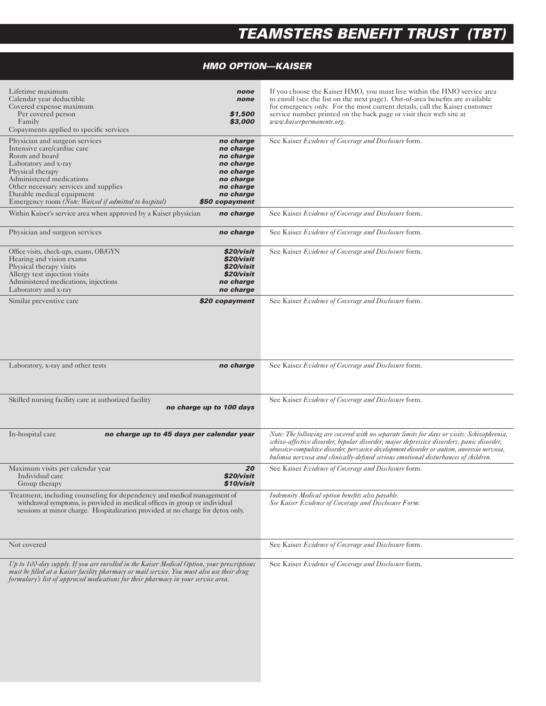# *TEAMSTERS BENEFIT TRUST (TBT)*

### *HMO OPTION—KAISER*

| Lifetime maximum<br>Calendar year deductible<br>Covered expense maximum<br>Per covered person<br>Family<br>Copayments applied to specific services                                                                                                                                     | none<br>none<br>\$1,500<br>\$3,000                                                                                     | If you choose the Kaiser HMO, you must live within the HMO service area<br>to enroll (see the list on the next page). Out-of-area benefits are available<br>for emergency only. For the most current details, call the Kaiser customer<br>service number printed on the back page or visit their web site at<br>www.kaiserpermanente.org.                                  |
|----------------------------------------------------------------------------------------------------------------------------------------------------------------------------------------------------------------------------------------------------------------------------------------|------------------------------------------------------------------------------------------------------------------------|----------------------------------------------------------------------------------------------------------------------------------------------------------------------------------------------------------------------------------------------------------------------------------------------------------------------------------------------------------------------------|
| Physician and surgeon services<br>Intensive care/cardiac care<br>Room and board<br>Laboratory and x-ray<br>Physical therapy<br>Administered medications<br>Other necessary services and supplies<br>Durable medical equipment<br>Emergency room (Note: Waived if admitted to hospital) | no charge<br>no charge<br>no charge<br>no charge<br>no charge<br>no charge<br>no charge<br>no charge<br>\$50 copayment | See Kaiser Evidence of Coverage and Disclosure form.                                                                                                                                                                                                                                                                                                                       |
| Within Kaiser's service area when approved by a Kaiser physician                                                                                                                                                                                                                       | no charge                                                                                                              | See Kaiser Evidence of Coverage and Disclosure form.                                                                                                                                                                                                                                                                                                                       |
| Physician and surgeon services                                                                                                                                                                                                                                                         | no charge                                                                                                              | See Kaiser Evidence of Coverage and Disclosure form.                                                                                                                                                                                                                                                                                                                       |
| Office visits, check-ups, exams, OB/GYN<br>Hearing and vision exams<br>Physical therapy visits<br>Allergy test injection visits<br>Administered medications, injections<br>Laboratory and x-ray                                                                                        | \$20/visit<br>\$20/visit<br>\$20/visit<br>\$20/visit<br>no charge<br>no charge                                         | See Kaiser Evidence of Coverage and Disclosure form.                                                                                                                                                                                                                                                                                                                       |
| Similar preventive care<br>Laboratory, x-ray and other tests                                                                                                                                                                                                                           | \$20 copayment<br>no charge                                                                                            | See Kaiser Evidence of Coverage and Disclosure form.<br>See Kaiser Evidence of Coverage and Disclosure form.                                                                                                                                                                                                                                                               |
|                                                                                                                                                                                                                                                                                        |                                                                                                                        |                                                                                                                                                                                                                                                                                                                                                                            |
| Skilled nursing facility care at authorized facility<br>no charge up to 100 days                                                                                                                                                                                                       | See Kaiser Evidence of Coverage and Disclosure form.                                                                   |                                                                                                                                                                                                                                                                                                                                                                            |
| In-hospital care<br>no charge up to 45 days per calendar year                                                                                                                                                                                                                          |                                                                                                                        | Note: The following are covered with no separate limits for days or visits: Schizophrenia,<br>schizo-affective disorder, bipolar disorder, major depressive disorders, panic disorder,<br>obsessive-compulsive disorder, pervasive development disorder or autism, anorexia nervosa,<br>bulimia nervosa and clinically-defined serious emotional disturbances of children. |
| Maximum visits per calendar year<br>Individual care<br>Group therapy                                                                                                                                                                                                                   | 20<br>\$20/visit<br>\$10/visit                                                                                         | See Kaiser Evidence of Coverage and Disclosure form.                                                                                                                                                                                                                                                                                                                       |
| Treatment, including counseling for dependency and medical management of<br>withdrawal symptoms, is provided in medical offices in group or individual<br>sessions at minor charge. Hospitalization provided at no charge for detox only.                                              |                                                                                                                        | Indemnity Medical option benefits also payable.<br>See Kaiser Evidence of Coverage and Disclosure Form.                                                                                                                                                                                                                                                                    |
| Not covered                                                                                                                                                                                                                                                                            |                                                                                                                        | See Kaiser Evidence of Coverage and Disclosure form.                                                                                                                                                                                                                                                                                                                       |
| Up to 100-day supply. If you are enrolled in the Kaiser Medical Option, your prescriptions<br>must be filled at a Kaiser facility pharmacy or mail service. You must also use their drug<br>formulary's list of approved medications for their pharmacy in your service area.          |                                                                                                                        | See Kaiser Evidence of Coverage and Disclosure form.                                                                                                                                                                                                                                                                                                                       |